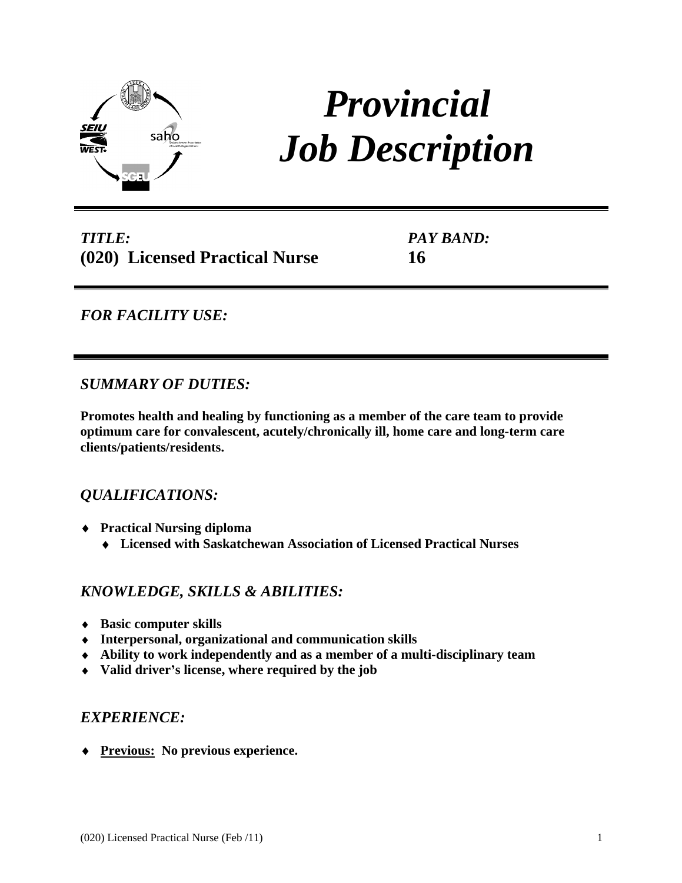

# *Provincial Job Description*

*TITLE:* **(020) Licensed Practical Nurse**

*PAY BAND:* **16**

# *FOR FACILITY USE:*

### *SUMMARY OF DUTIES:*

**Promotes health and healing by functioning as a member of the care team to provide optimum care for convalescent, acutely/chronically ill, home care and long-term care clients/patients/residents.**

# *QUALIFICATIONS:*

- **Practical Nursing diploma**
	- **Licensed with Saskatchewan Association of Licensed Practical Nurses**

### *KNOWLEDGE, SKILLS & ABILITIES:*

- **Basic computer skills**
- **Interpersonal, organizational and communication skills**
- **Ability to work independently and as a member of a multi-disciplinary team**
- **Valid driver s license, where required by the job**

# *EXPERIENCE:*

**Previous: No previous experience.**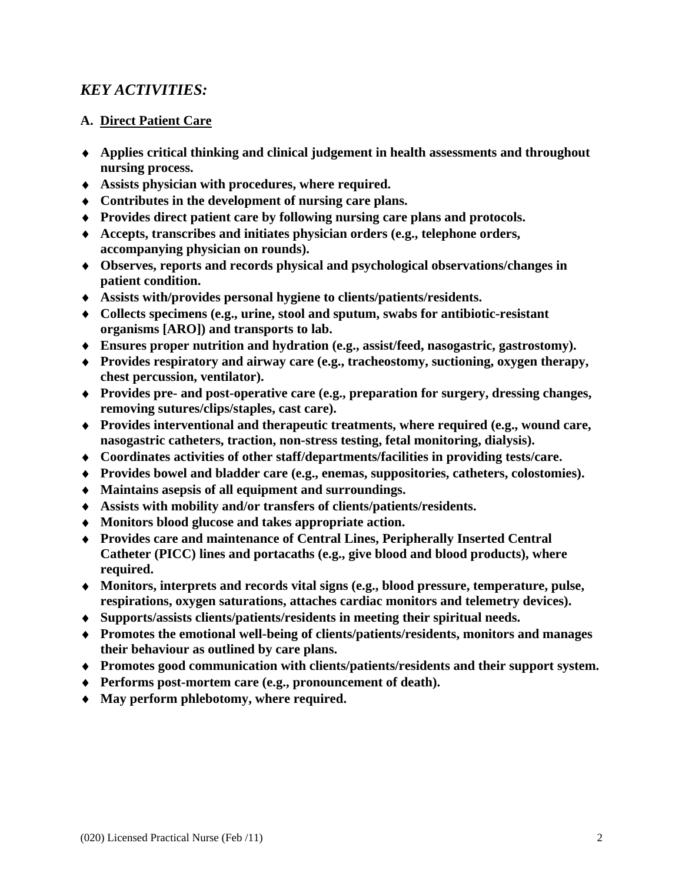# *KEY ACTIVITIES:*

- **A. <u>Direct Patient Care</u><br>◆ Applies critical thinking and clinical judgement in health assessments and throughout nursing process.**
- **Assists physician with procedures, where required.**
- **Contributes in the development of nursing care plans.**
- **Provides direct patient care by following nursing care plans and protocols.**
- **Accepts, transcribes and initiates physician orders (e.g., telephone orders, accompanying physician on rounds).**
- **Observes, reports and records physical and psychological observations/changes in patient condition.**
- **Assists with/provides personal hygiene to clients/patients/residents.**
- **Collects specimens (e.g., urine, stool and sputum, swabs for antibiotic-resistant organisms [ARO]) and transports to lab.**
- **Ensures proper nutrition and hydration (e.g., assist/feed, nasogastric, gastrostomy).**
- **Provides respiratory and airway care (e.g., tracheostomy, suctioning, oxygen therapy, chest percussion, ventilator).**
- **Provides pre- and post-operative care (e.g., preparation for surgery, dressing changes, removing sutures/clips/staples, cast care).**
- **Provides interventional and therapeutic treatments, where required (e.g., wound care, nasogastric catheters, traction, non-stress testing, fetal monitoring, dialysis).**
- **Coordinates activities of other staff/departments/facilities in providing tests/care.**
- **Provides bowel and bladder care (e.g., enemas, suppositories, catheters, colostomies).**
- **Maintains asepsis of all equipment and surroundings.**
- **Assists with mobility and/or transfers of clients/patients/residents.**
- **Monitors blood glucose and takes appropriate action.**
- **Provides care and maintenance of Central Lines, Peripherally Inserted Central Catheter (PICC) lines and portacaths (e.g., give blood and blood products), where required.**
- **Monitors, interprets and records vital signs (e.g., blood pressure, temperature, pulse, respirations, oxygen saturations, attaches cardiac monitors and telemetry devices).**
- **Supports/assists clients/patients/residents in meeting their spiritual needs.**
- **Promotes the emotional well-being of clients/patients/residents, monitors and manages their behaviour as outlined by care plans.**
- **Promotes good communication with clients/patients/residents and their support system.**
- **Performs post-mortem care (e.g., pronouncement of death).**
- **May perform phlebotomy, where required.**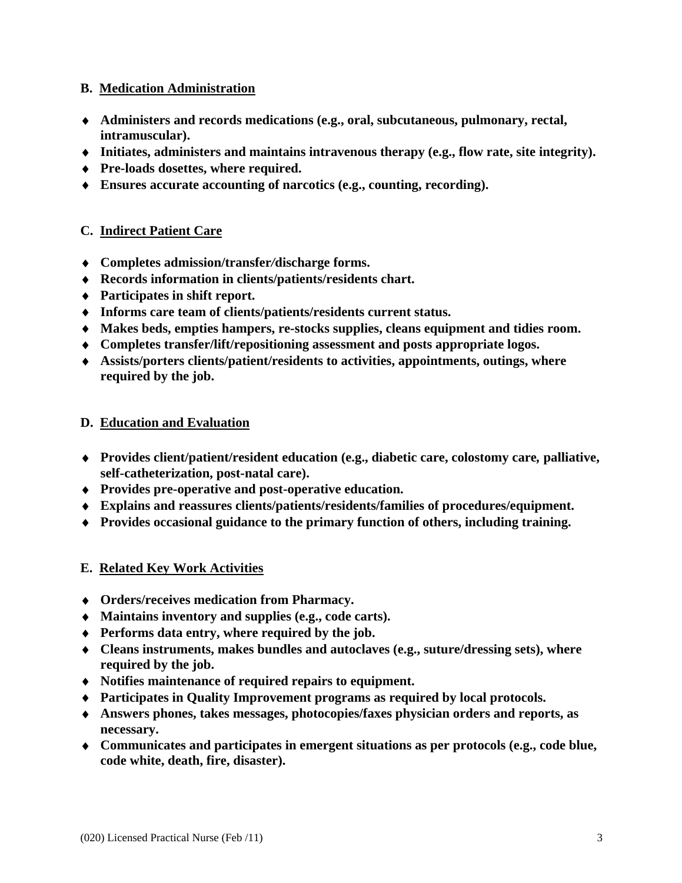#### **B. Medication Administration**

- **Administers and records medications (e.g., oral, subcutaneous, pulmonary, rectal, intramuscular).**
- **Initiates, administers and maintains intravenous therapy (e.g., flow rate, site integrity).**
- **Pre-loads dosettes, where required.**
- **Ensures accurate accounting of narcotics (e.g., counting, recording).**

- **€. <u>Indirect Patient Care</u><br>♦ Completes admission/transfer/discharge forms.**
- **Records information in clients/patients/residents chart.**
- **Participates in shift report.**
- **Informs care team of clients/patients/residents current status.**
- **Makes beds, empties hampers, re-stocks supplies, cleans equipment and tidies room.**
- **Completes transfer/lift/repositioning assessment and posts appropriate logos.**
- **Assists/porters clients/patient/residents to activities, appointments, outings, where required by the job.**

- **D. Education and Evaluation Provides client/patient/resident education (e.g., diabetic care, colostomy care***,* **palliative, self-catheterization, post-natal care).**
- **Provides pre-operative and post-operative education.**
- **Explains and reassures clients/patients/residents/families of procedures/equipment.**
- **Provides occasional guidance to the primary function of others, including training.**

#### **E. Related Key Work Activities**

- **Orders/receives medication from Pharmacy.**
- **Maintains inventory and supplies (e.g., code carts).**
- **Performs data entry, where required by the job.**
- **Cleans instruments, makes bundles and autoclaves (e.g., suture/dressing sets), where required by the job.**
- **Notifies maintenance of required repairs to equipment.**
- **Participates in Quality Improvement programs as required by local protocols.**
- **Answers phones, takes messages, photocopies/faxes physician orders and reports, as necessary.**
- **Communicates and participates in emergent situations as per protocols (e.g., code blue, code white, death, fire, disaster).**